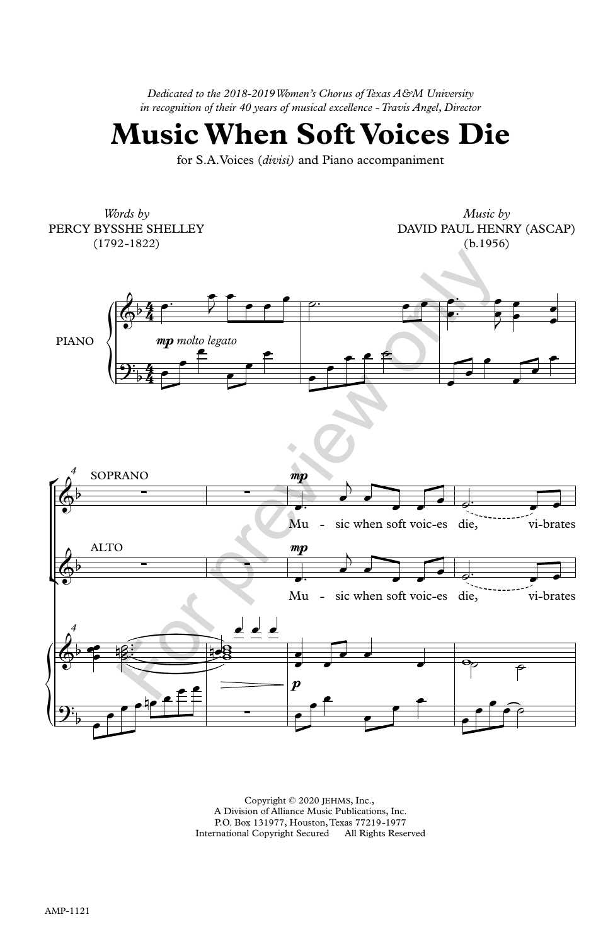*Dedicated to the 2018-2019 Women's Chorus of Texas A&M University in recognition of their 40 years of musical excellence - Travis Angel, Director*

**Music When Soft Voices Die**

for S.A.Voices (*divisi)* and Piano accompaniment

 ${\displaystyle\bigoplus_{i=1}^{n}}$ ° *4* SOPRANO  $\left(\frac{\Phi}{\epsilon}\right)^p$  ${\displaystyle\left|\frac{}{\mathbf{\mathcal{P}}}}\right|}$ *Words by* PERCY BYSSHE SHELLEY (1792-1822) *Music by* DAVID PAUL HENRY (ASCAP) (b.1956) PIANO  $\left\{\right\}$  *mp* molto legato  $\mathbb{R}^p$  $\mathbb{A}^{\flat}$ Mu - sic when soft voic-es die, vi-brates mp Mu - sic when soft voic-es die, vi-brates mp  $\boldsymbol{p}$ *4*  $4 \cdot$  $\frac{4}{4}$   $\frac{6}{4}$ 4,  $\cdot$   $\overline{\phantom{a}}$  $\frac{4}{4}$   $\bullet$  $\oint_{0}^{4}$  $9.4 \cdot$  $\bigcirc^b$ ∑ ∑  $\phi$ ALTO ∑ ∑  $6 - 12$  $2\frac{p}{p}$   $\frac{p}{p}$ <sup>œ</sup>™ <sup>œ</sup>  $\frac{1}{2}$  eq.  $\bullet$   $\bullet$   $\circ$ œ ˙™ œ œ œ œ™  $\rightarrow$   $\rightarrow$ œ  $\begin{array}{|c|c|c|c|c|}\n\hline\n\bullet\hspace{0.2cm}&\bullet\hspace{0.2cm}&\bullet\hspace{0.2cm}&\bullet\end{array}$ œ œ œ  $\overline{\phantom{a}}$  $\overline{\phantom{a}}$ œ œ œ  $\overline{\phantom{a}}$ <u>e≛≐</u>  $\bullet$   $\bullet$   $\bullet$  $\overline{\phantom{a}}$ æ  $\overline{\phantom{a}}$  $\overline{\phantom{a}}$  $2 \equiv$  $\overline{\phantom{0}}$ <sup>œ</sup>™ <sup>œ</sup>  $\overline{a}$ œ œ  $\bullet$   $\bullet$   $\bullet$   $\bullet$ <sup>œ</sup>™ <sup>œ</sup>  $\overline{a}$ œ œ  $\bullet$   $\bullet$   $\bullet$   $\bullet$   $\bullet$ e e∷  $\bullet$ ™  $\frac{1}{\sqrt{8}}$  $\frac{d}{dx}$   $\frac{d}{dx}$ <del>general</del> œ  $\cdot$   $\cdot$   $\cdot$  $\overline{\bullet}$   $\overline{\bullet}$   $\overline{\bullet}$   $\overline{\bullet}$   $\overline{\bullet}$   $\overline{\bullet}$   $\overline{\bullet}$   $\overline{\bullet}$   $\overline{\bullet}$   $\overline{\bullet}$   $\overline{\bullet}$   $\overline{\bullet}$   $\overline{\bullet}$   $\overline{\bullet}$   $\overline{\bullet}$   $\overline{\bullet}$   $\overline{\bullet}$   $\overline{\bullet}$   $\overline{\bullet}$   $\overline{\bullet}$   $\overline{\bullet}$   $\overline{\bullet}$   $\overline{\bullet}$   $\overline{\bullet}$   $\overline{\$  $\overrightarrow{e}$   $\overrightarrow{e}$ æ œ  $e^{\frac{1}{2} \cdot \frac{1}{2} \cdot \frac{1}{2}}$ <u>ℯ▐┋</u>▏▔ e = |  $\frac{1}{\sqrt{2}}$  $\cdot$   $\overline{\phantom{a}}$ œ œ  $\overrightarrow{ }$  $\bullet$  $\cdot$   $\cdot$   $\cdot$  $\cdot$   $\hat{e}$ Mu - sic when soft voic-es die, vi-bra<br>  $\frac{d}{dx}$ <br>  $\frac{d}{dx}$ <br>  $\frac{d}{dx}$ <br>  $\frac{d}{dx}$ <br>  $\frac{d}{dx}$ <br>  $\frac{d}{dx}$ <br>  $\frac{d}{dx}$ <br>  $\frac{d}{dx}$ <br>  $\frac{d}{dx}$ <br>  $\frac{d}{dx}$ <br>  $\frac{d}{dx}$ <br>  $\frac{d}{dx}$ <br>  $\frac{d}{dx}$ <br>  $\frac{d}{dx}$ <br>  $\frac{d}{dx}$ <br>  $\frac{d}{dx}$ <br>  $\frac{d$  $\hat{\bullet}$   $\hat{\bullet}$  $\frac{mp}{2}$ <br>  $\frac{mp}{2}$ <br>  $\frac{mp}{2}$ <br>  $\frac{mp}{2}$ <br>  $\frac{mp}{2}$ <br>  $\frac{mp}{2}$ <br>  $\frac{mp}{2}$ <br>  $\frac{mp}{2}$ <br>  $\frac{mp}{2}$ <br>  $\frac{mp}{2}$ <br>  $\frac{mp}{2}$ <br>  $\frac{mp}{2}$ <br>  $\frac{mp}{2}$ <br>  $\frac{mp}{2}$ <br>  $\frac{mp}{2}$ <br>  $\frac{mp}{2}$ 

> Copyright © 2020 JEHMS, Inc., A Division of Alliance Music Publications, Inc. P.O. Box 131977, Houston, Texas 77219-1977 International Copyright Secured All Rights Reserved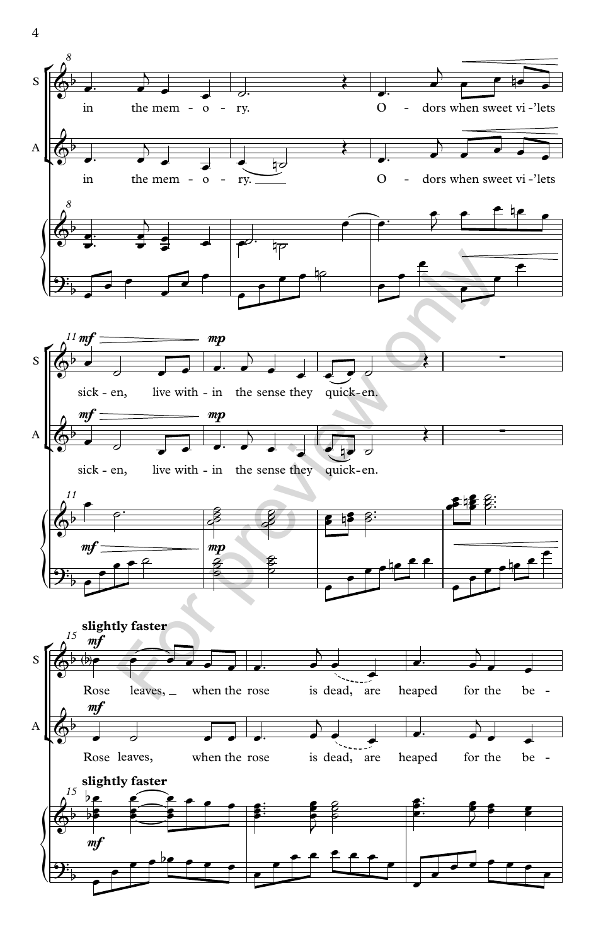

4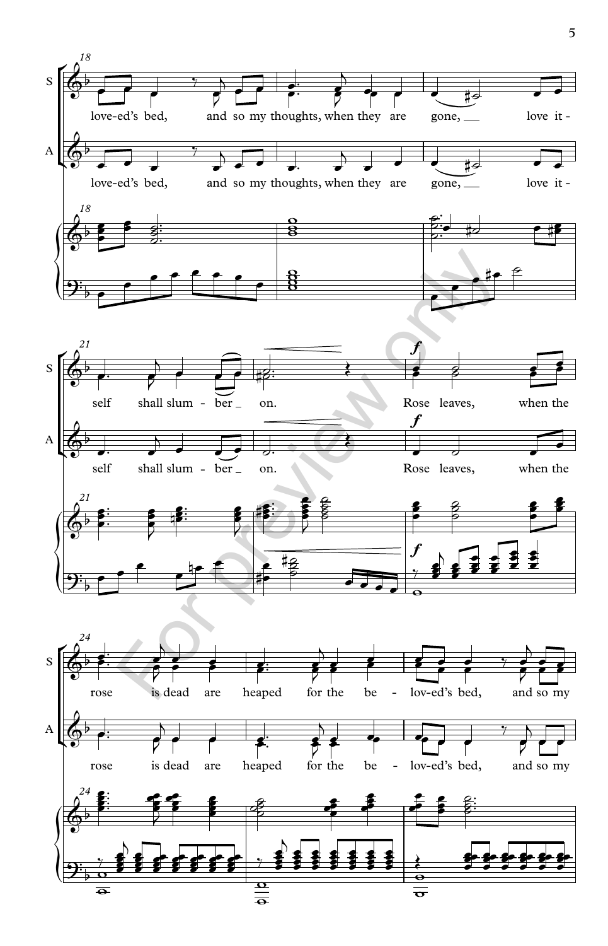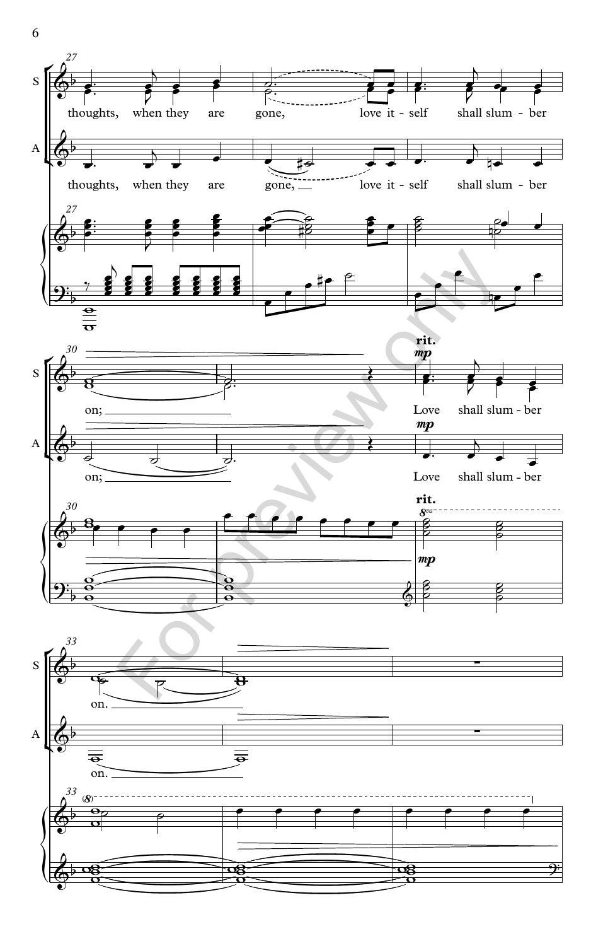

6